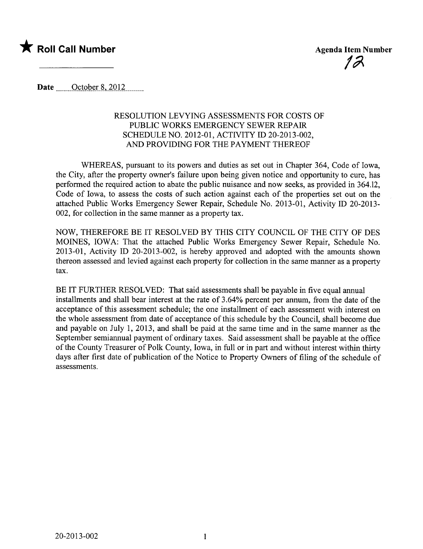

Date  $\qquad$  October 8, 2012

## RESOLUTION LEVYING ASSESSMENTS FOR COSTS OF PUBLIC WORKS EMERGENCY SEWER REPAIR SCHEDULE NO. 2012-01, ACTIVITY ID 20-2013-002, AND PROVIDING FOR THE PAYMENT THEREOF

WHEREAS, pursuant to its powers and duties as set out in Chapter 364, Code of Iowa, the City, after the property owner's failure upon being given notice and opportunity to cure, has performed the required action to abate the public nuisance and now seeks, as provided in 364.12, Code of Iowa, to assess the costs of such action against each of the properties set out on the attached Public Works Emergency Sewer Repair, Schedule No. 2013-01, Activity ID 20-2013- 002, for collection in the same manner as a property tax.

NOW, THEREFORE BE IT RESOLVED BY THIS CITY COUNCIL OF THE CITY OF DES MOINS, IOWA: That the attached Public Works Emergency Sewer Repair, Schedule No. 2013-01, Activity ID 20-2013-002, is hereby approved and adopted with the amounts shown thereon assessed and levied against each property for collection in the same manner as a property tax.

BE IT FURTHER RESOLVED: That said assessments shall be payable in five equal annual installments and shall bear interest at the rate of 3.64% percent per annum, from the date of the acceptance of this assessment schedule; the one installment of each assessment with interest on the whole assessment from date of acceptance of this schedule by the Council, shall become due and payable on July 1, 2013, and shall be paid at the same time and in the same manner as the September semiannual payment of ordinary taxes. Said assessment shall be payable at the office of the County Treasurer of Polk County, Iowa, in full or in part and without interest within thirty days after first date of publication of the Notice to Property Owners of filing of the schedule of assessments.